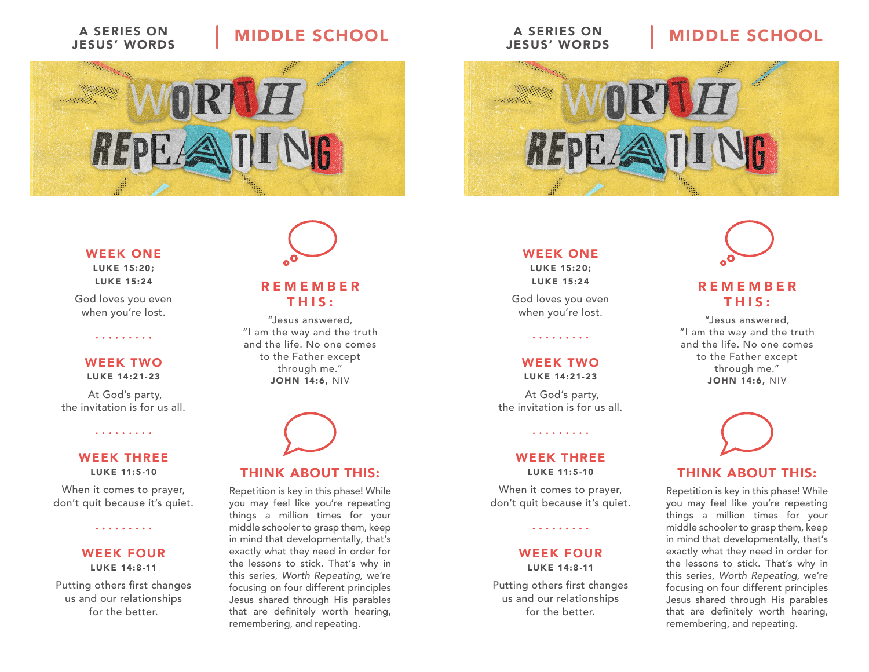# JESUS' WORDS

## A SERIES ON | MIDDLE SCHOOL



#### WEEK ONE

LUKE 15:20; LUKE 15:24

God loves you even when you're lost.

#### WEEK TWO

. . . . . . . . .

LUKE 14:21-23

 At God's party, the invitation is for us all.

. . . . . . . . .

#### WEEK THREE LUKE 11:5-10

When it comes to prayer, don't quit because it's quiet.

. . . . . . . . .

#### WEEK FOUR LUKE 14:8-11

Putting others first changes us and our relationships for the better.



#### REMEMBER THIS:

"Jesus answered, "I am the way and the truth and the life. No one comes to the Father except through me." JOHN 14:6, NIV



#### THINK ABOUT THIS:

Repetition is key in this phase! While you may feel like you're repeating things a million times for your middle schooler to grasp them, keep in mind that developmentally, that's exactly what they need in order for the lessons to stick. That's why in this series, Worth Repeating, we're focusing on four different principles Jesus shared through His parables that are definitely worth hearing, remembering, and repeating.